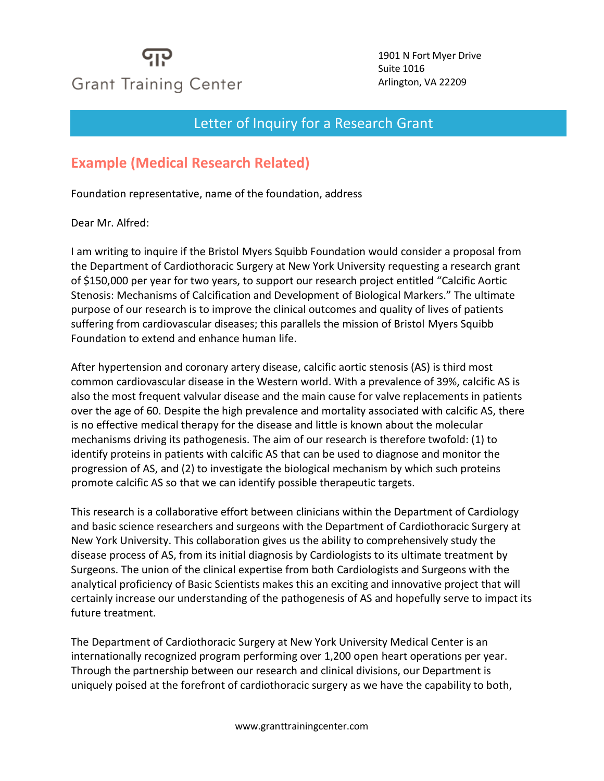## **Grant Training Center**

1901 N Fort Myer Drive Suite 1016 Arlington, VA 22209

## Letter of Inquiry for a Research Grant

## **Example (Medical Research Related)**

Foundation representative, name of the foundation, address

Dear Mr. Alfred:

I am writing to inquire if the Bristol Myers Squibb Foundation would consider a proposal from the Department of Cardiothoracic Surgery at New York University requesting a research grant of \$150,000 per year for two years, to support our research project entitled "Calcific Aortic Stenosis: Mechanisms of Calcification and Development of Biological Markers." The ultimate purpose of our research is to improve the clinical outcomes and quality of lives of patients suffering from cardiovascular diseases; this parallels the mission of Bristol Myers Squibb Foundation to extend and enhance human life.

After hypertension and coronary artery disease, calcific aortic stenosis (AS) is third most common cardiovascular disease in the Western world. With a prevalence of 39%, calcific AS is also the most frequent valvular disease and the main cause for valve replacements in patients over the age of 60. Despite the high prevalence and mortality associated with calcific AS, there is no effective medical therapy for the disease and little is known about the molecular mechanisms driving its pathogenesis. The aim of our research is therefore twofold: (1) to identify proteins in patients with calcific AS that can be used to diagnose and monitor the progression of AS, and (2) to investigate the biological mechanism by which such proteins promote calcific AS so that we can identify possible therapeutic targets.

This research is a collaborative effort between clinicians within the Department of Cardiology and basic science researchers and surgeons with the Department of Cardiothoracic Surgery at New York University. This collaboration gives us the ability to comprehensively study the disease process of AS, from its initial diagnosis by Cardiologists to its ultimate treatment by Surgeons. The union of the clinical expertise from both Cardiologists and Surgeons with the analytical proficiency of Basic Scientists makes this an exciting and innovative project that will certainly increase our understanding of the pathogenesis of AS and hopefully serve to impact its future treatment.

The Department of Cardiothoracic Surgery at New York University Medical Center is an internationally recognized program performing over 1,200 open heart operations per year. Through the partnership between our research and clinical divisions, our Department is uniquely poised at the forefront of cardiothoracic surgery as we have the capability to both,